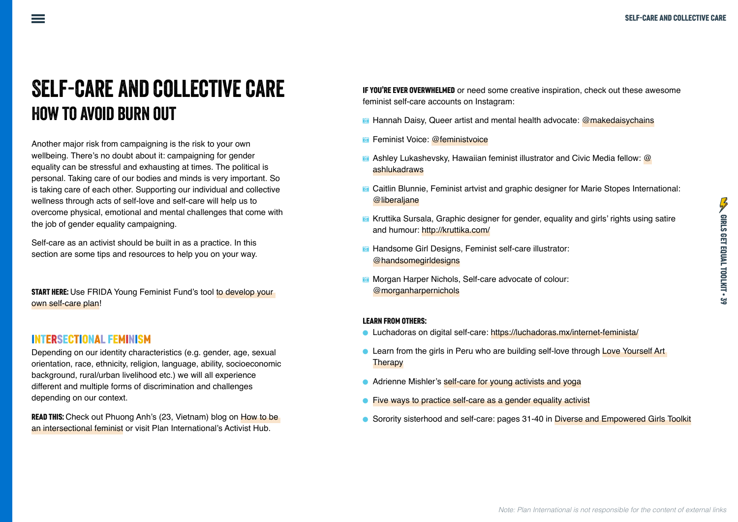## Self-care and collective care How to avoid burn out

Another major risk from campaigning is the risk to your own wellbeing. There's no doubt about it: campaigning for gender equality can be stressful and exhausting at times. The political is personal. Taking care of our bodies and minds is very important. So is taking care of each other. Supporting our individual and collective wellness through acts of self-love and self-care will help us to overcome physical, emotional and mental challenges that come with the job of gender equality campaigning.

Self-care as an activist should be built in as a practice. In this section are some tips and resources to help you on your way.

**START HERE:** Use FRIDA Young Feminist Fund's tool to develop your [own self-care plan](https://youngfeministfund.org/develop-self-care-plan/)!

## INTERSECTIONAL FEMINISM

Depending on our identity characteristics (e.g. gender, age, sexual orientation, race, ethnicity, religion, language, ability, socioeconomic background, rural/urban livelihood etc.) we will all experience different and multiple forms of discrimination and challenges depending on our context.

READ THIS: Check out Phuong Anh's (23, Vietnam) blog on How to be [an intersectional feminist](https://plan-international.org/girls-get-equal/intersectional-feminism) or visit Plan International's Activist Hub.

IF YOU'RE EVER OVERWHELMED or need some creative inspiration, check out these awesome feminist self-care accounts on Instagram:

- **E** Hannah Daisy, Queer artist and mental health advocate: [@makedaisychains](https://www.instagram.com/makedaisychains/?hl=en)
- **Feminist Voice: [@feministvoice](https://www.instagram.com/feministvoice/?hl=en)**
- Ashley Lukashevsky, Hawaiian feminist illustrator and Civic Media fellow: [@](https://www.instagram.com/ashlukadraws/?hl=en) [ashlukadraws](https://www.instagram.com/ashlukadraws/?hl=en)
- **G** Caitlin Blunnie, Feminist artvist and graphic designer for Marie Stopes International: [@liberaljane](https://www.instagram.com/liberaljane/?hl=en)
- **E** Kruttika Sursala, Graphic designer for gender, equality and girls' rights using satire and humour:<http://kruttika.com/>
- **•** Handsome Girl Designs, Feminist self-care illustrator: [@handsomegirldesigns](https://www.instagram.com/handsomegirldesigns/?hl=en)
- **The Morgan Harper Nichols, Self-care advocate of colour:** [@morganharpernichols](https://www.instagram.com/morganharpernichols/?hl=en)

## LEARN FROM OTHERS:

- ā Luchadoras on digital self-care: <https://luchadoras.mx/internet-feminista/>
- **Learn from the girls in Peru who are building self-love through Love Yourself Art [Therapy](https://plan-international.org/because-i-am-a-girl/love-yourself-girls-build-self-esteem-through-art)**
- Adrienne Mishler's [self-care for young activists and yoga](https://plan-international.org/girls-get-equal/yoga-with-adriene-self-care-activists)
- [Five ways to practice self-care as a gender equality activist](https://www.globalfundforwomen.org/self-care-activism-infographic/)
- ā Sorority sisterhood and self-care: pages 31-40 in [Diverse and Empowered Girls Toolkit](https://plan-international.org/publications/diverse-empowered-girls)